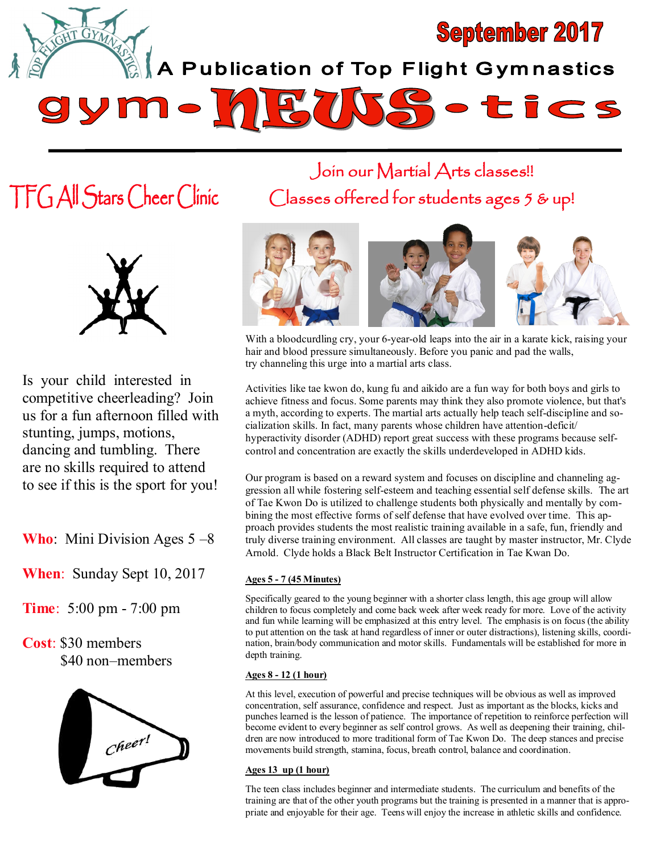

TFG All Stars Cheer Clinic



Is your child interested in competitive cheerleading? Join us for a fun afternoon filled with stunting, jumps, motions, dancing and tumbling. There are no skills required to attend to see if this is the sport for you!

**Who**: Mini Division Ages 5 –8

**When**: Sunday Sept 10, 2017

**Time**: 5:00 pm - 7:00 pm

**Cost**: \$30 members \$40 non–members



Join our Martial Arts classes!! Classes offered for students ages 5 & up!



With a bloodcurdling cry, your 6-year-old leaps into the air in a karate kick, raising your hair and blood pressure simultaneously. Before you panic and pad the walls, try channeling this urge into a martial arts class.

Activities like tae kwon do, kung fu and aikido are a fun way for both boys and girls to achieve fitness and focus. Some parents may think they also promote violence, but that's a myth, according to experts. The martial arts actually help teach self-discipline and socialization skills. In fact, many parents whose children have attention-deficit/ hyperactivity disorder (ADHD) report great success with these programs because selfcontrol and concentration are exactly the skills underdeveloped in ADHD kids.

Our program is based on a reward system and focuses on discipline and channeling aggression all while fostering self-esteem and teaching essential self defense skills. The art of Tae Kwon Do is utilized to challenge students both physically and mentally by combining the most effective forms of self defense that have evolved over time. This approach provides students the most realistic training available in a safe, fun, friendly and truly diverse training environment. All classes are taught by master instructor, Mr. Clyde Arnold. Clyde holds a Black Belt Instructor Certification in Tae Kwan Do.

## **Ages 5 - 7 (45 Minutes)**

Specifically geared to the young beginner with a shorter class length, this age group will allow children to focus completely and come back week after week ready for more. Love of the activity and fun while learning will be emphasized at this entry level. The emphasis is on focus (the ability to put attention on the task at hand regardless of inner or outer distractions), listening skills, coordination, brain/body communication and motor skills. Fundamentals will be established for more in depth training.

## **Ages 8 - 12 (1 hour)**

At this level, execution of powerful and precise techniques will be obvious as well as improved concentration, self assurance, confidence and respect. Just as important as the blocks, kicks and punches learned is the lesson of patience. The importance of repetition to reinforce perfection will become evident to every beginner as self control grows. As well as deepening their training, children are now introduced to more traditional form of Tae Kwon Do. The deep stances and precise movements build strength, stamina, focus, breath control, balance and coordination.

## **Ages 13 up (1 hour)**

The teen class includes beginner and intermediate students. The curriculum and benefits of the training are that of the other youth programs but the training is presented in a manner that is appropriate and enjoyable for their age. Teens will enjoy the increase in athletic skills and confidence.